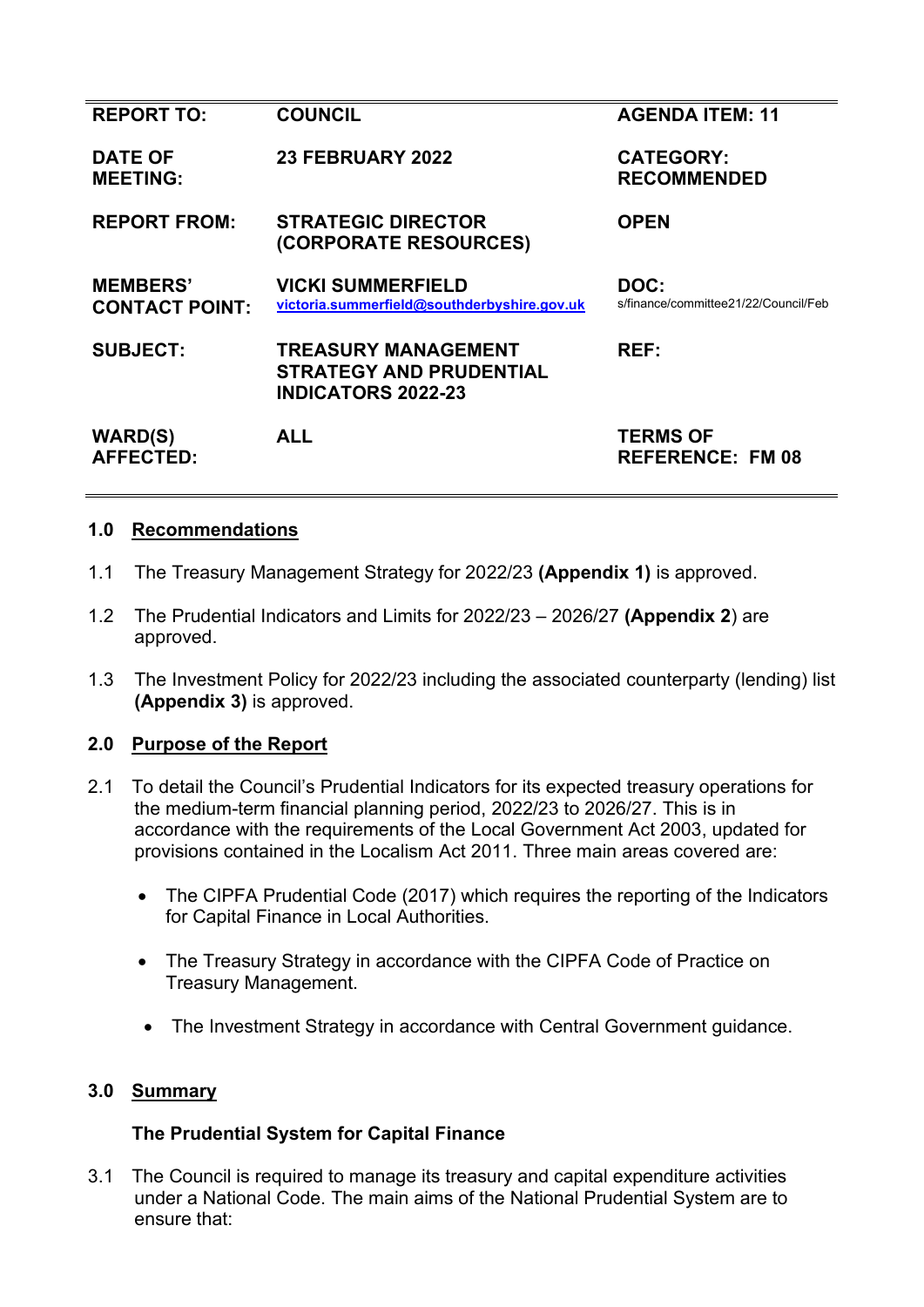| <b>REPORT TO:</b>                        | <b>COUNCIL</b>                                                                            | <b>AGENDA ITEM: 11</b>                       |
|------------------------------------------|-------------------------------------------------------------------------------------------|----------------------------------------------|
| <b>DATE OF</b><br><b>MEETING:</b>        | <b>23 FEBRUARY 2022</b>                                                                   | <b>CATEGORY:</b><br><b>RECOMMENDED</b>       |
| <b>REPORT FROM:</b>                      | <b>STRATEGIC DIRECTOR</b><br>(CORPORATE RESOURCES)                                        | <b>OPEN</b>                                  |
| <b>MEMBERS'</b><br><b>CONTACT POINT:</b> | <b>VICKI SUMMERFIELD</b><br>victoria.summerfield@southderbyshire.gov.uk                   | DOC:<br>s/finance/committee21/22/Council/Feb |
| <b>SUBJECT:</b>                          | <b>TREASURY MANAGEMENT</b><br><b>STRATEGY AND PRUDENTIAL</b><br><b>INDICATORS 2022-23</b> | REF:                                         |
| <b>WARD(S)</b><br><b>AFFECTED:</b>       | <b>ALL</b>                                                                                | <b>TERMS OF</b><br><b>REFERENCE: FM 08</b>   |

### **1.0 Recommendations**

- 1.1 The Treasury Management Strategy for 2022/23 **(Appendix 1)** is approved.
- 1.2 The Prudential Indicators and Limits for 2022/23 2026/27 **(Appendix 2**) are approved.
- 1.3 The Investment Policy for 2022/23 including the associated counterparty (lending) list **(Appendix 3)** is approved.

## **2.0 Purpose of the Report**

- 2.1 To detail the Council's Prudential Indicators for its expected treasury operations for the medium-term financial planning period, 2022/23 to 2026/27. This is in accordance with the requirements of the Local Government Act 2003, updated for provisions contained in the Localism Act 2011. Three main areas covered are:
	- The CIPFA Prudential Code (2017) which requires the reporting of the Indicators for Capital Finance in Local Authorities.
	- The Treasury Strategy in accordance with the CIPFA Code of Practice on Treasury Management.
	- The Investment Strategy in accordance with Central Government guidance.

### **3.0 Summary**

## **The Prudential System for Capital Finance**

3.1 The Council is required to manage its treasury and capital expenditure activities under a National Code. The main aims of the National Prudential System are to ensure that: